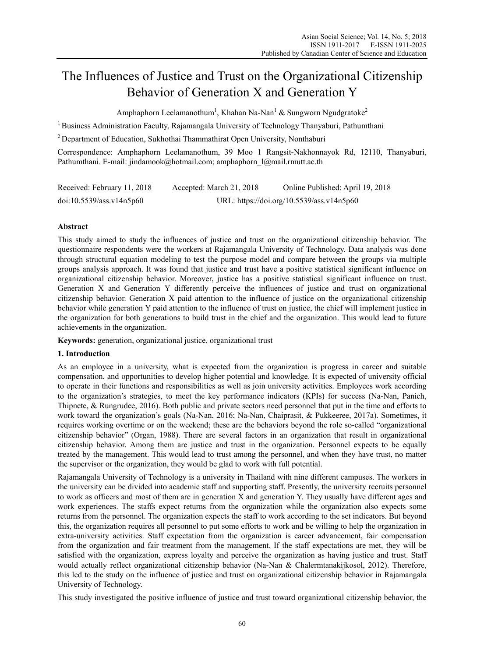# The Influences of Justice and Trust on the Organizational Citizenship Behavior of Generation X and Generation Y

Amphaphorn Leelamanothum<sup>1</sup>, Khahan Na-Nan<sup>1</sup> & Sungworn Ngudgratoke<sup>2</sup>

<sup>1</sup> Business Administration Faculty, Rajamangala University of Technology Thanyaburi, Pathumthani

<sup>2</sup> Department of Education, Sukhothai Thammathirat Open University, Nonthaburi

Correspondence: Amphaphorn Leelamanothum, 39 Moo 1 Rangsit-Nakhonnayok Rd, 12110, Thanyaburi, Pathumthani. E-mail: jindamook@hotmail.com; amphaphorn\_l@mail.rmutt.ac.th

| Received: February 11, 2018 | Accepted: March 21, 2018 | Online Published: April 19, 2018          |
|-----------------------------|--------------------------|-------------------------------------------|
| doi:10.5539/ass.v14n5p60    |                          | URL: https://doi.org/10.5539/ass.v14n5p60 |

# **Abstract**

This study aimed to study the influences of justice and trust on the organizational citizenship behavior. The questionnaire respondents were the workers at Rajamangala University of Technology. Data analysis was done through structural equation modeling to test the purpose model and compare between the groups via multiple groups analysis approach. It was found that justice and trust have a positive statistical significant influence on organizational citizenship behavior. Moreover, justice has a positive statistical significant influence on trust. Generation X and Generation Y differently perceive the influences of justice and trust on organizational citizenship behavior. Generation X paid attention to the influence of justice on the organizational citizenship behavior while generation Y paid attention to the influence of trust on justice, the chief will implement justice in the organization for both generations to build trust in the chief and the organization. This would lead to future achievements in the organization.

**Keywords:** generation, organizational justice, organizational trust

# **1. Introduction**

As an employee in a university, what is expected from the organization is progress in career and suitable compensation, and opportunities to develop higher potential and knowledge. It is expected of university official to operate in their functions and responsibilities as well as join university activities. Employees work according to the organization's strategies, to meet the key performance indicators (KPIs) for success (Na-Nan, Panich, Thipnete, & Rungrudee, 2016). Both public and private sectors need personnel that put in the time and efforts to work toward the organization's goals (Na-Nan, 2016; Na-Nan, Chaiprasit, & Pukkeeree, 2017a). Sometimes, it requires working overtime or on the weekend; these are the behaviors beyond the role so-called "organizational citizenship behavior" (Organ, 1988). There are several factors in an organization that result in organizational citizenship behavior. Among them are justice and trust in the organization. Personnel expects to be equally treated by the management. This would lead to trust among the personnel, and when they have trust, no matter the supervisor or the organization, they would be glad to work with full potential.

Rajamangala University of Technology is a university in Thailand with nine different campuses. The workers in the university can be divided into academic staff and supporting staff. Presently, the university recruits personnel to work as officers and most of them are in generation X and generation Y. They usually have different ages and work experiences. The staffs expect returns from the organization while the organization also expects some returns from the personnel. The organization expects the staff to work according to the set indicators. But beyond this, the organization requires all personnel to put some efforts to work and be willing to help the organization in extra-university activities. Staff expectation from the organization is career advancement, fair compensation from the organization and fair treatment from the management. If the staff expectations are met, they will be satisfied with the organization, express loyalty and perceive the organization as having justice and trust. Staff would actually reflect organizational citizenship behavior (Na-Nan & Chalermtanakijkosol, 2012). Therefore, this led to the study on the influence of justice and trust on organizational citizenship behavior in Rajamangala University of Technology.

This study investigated the positive influence of justice and trust toward organizational citizenship behavior, the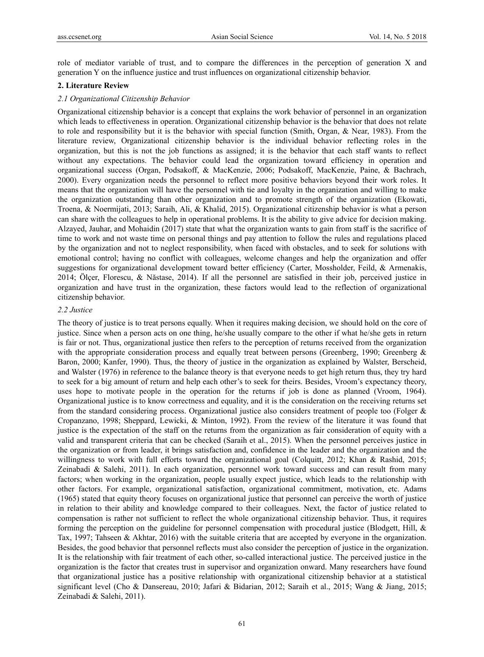role of mediator variable of trust, and to compare the differences in the perception of generation X and generation Y on the influence justice and trust influences on organizational citizenship behavior.

## **2. Literature Review**

#### *2.1 Organizational Citizenship Behavior*

Organizational citizenship behavior is a concept that explains the work behavior of personnel in an organization which leads to effectiveness in operation. Organizational citizenship behavior is the behavior that does not relate to role and responsibility but it is the behavior with special function (Smith, Organ, & Near, 1983). From the literature review, Organizational citizenship behavior is the individual behavior reflecting roles in the organization, but this is not the job functions as assigned; it is the behavior that each staff wants to reflect without any expectations. The behavior could lead the organization toward efficiency in operation and organizational success (Organ, Podsakoff, & MacKenzie, 2006; Podsakoff, MacKenzie, Paine, & Bachrach, 2000). Every organization needs the personnel to reflect more positive behaviors beyond their work roles. It means that the organization will have the personnel with tie and loyalty in the organization and willing to make the organization outstanding than other organization and to promote strength of the organization (Ekowati, Troena, & Noermijati, 2013; Saraih, Ali, & Khalid, 2015). Organizational citizenship behavior is what a person can share with the colleagues to help in operational problems. It is the ability to give advice for decision making. Alzayed, Jauhar, and Mohaidin (2017) state that what the organization wants to gain from staff is the sacrifice of time to work and not waste time on personal things and pay attention to follow the rules and regulations placed by the organization and not to neglect responsibility, when faced with obstacles, and to seek for solutions with emotional control; having no conflict with colleagues, welcome changes and help the organization and offer suggestions for organizational development toward better efficiency (Carter, Mossholder, Feild, & Armenakis, 2014; Ölçer, Florescu, & Năstase, 2014). If all the personnel are satisfied in their job, perceived justice in organization and have trust in the organization, these factors would lead to the reflection of organizational citizenship behavior.

#### *2.2 Justice*

The theory of justice is to treat persons equally. When it requires making decision, we should hold on the core of justice. Since when a person acts on one thing, he/she usually compare to the other if what he/she gets in return is fair or not. Thus, organizational justice then refers to the perception of returns received from the organization with the appropriate consideration process and equally treat between persons (Greenberg, 1990; Greenberg & Baron, 2000; Kanfer, 1990). Thus, the theory of justice in the organization as explained by Walster, Berscheid, and Walster (1976) in reference to the balance theory is that everyone needs to get high return thus, they try hard to seek for a big amount of return and help each other's to seek for theirs. Besides, Vroom's expectancy theory, uses hope to motivate people in the operation for the returns if job is done as planned (Vroom, 1964). Organizational justice is to know correctness and equality, and it is the consideration on the receiving returns set from the standard considering process. Organizational justice also considers treatment of people too (Folger & Cropanzano, 1998; Sheppard, Lewicki, & Minton, 1992). From the review of the literature it was found that justice is the expectation of the staff on the returns from the organization as fair consideration of equity with a valid and transparent criteria that can be checked (Saraih et al., 2015). When the personnel perceives justice in the organization or from leader, it brings satisfaction and, confidence in the leader and the organization and the willingness to work with full efforts toward the organizational goal (Colquitt, 2012; Khan & Rashid, 2015; Zeinabadi & Salehi, 2011). In each organization, personnel work toward success and can result from many factors; when working in the organization, people usually expect justice, which leads to the relationship with other factors. For example, organizational satisfaction, organizational commitment, motivation, etc. Adams (1965) stated that equity theory focuses on organizational justice that personnel can perceive the worth of justice in relation to their ability and knowledge compared to their colleagues. Next, the factor of justice related to compensation is rather not sufficient to reflect the whole organizational citizenship behavior. Thus, it requires forming the perception on the guideline for personnel compensation with procedural justice (Blodgett, Hill, & Tax, 1997; Tahseen & Akhtar, 2016) with the suitable criteria that are accepted by everyone in the organization. Besides, the good behavior that personnel reflects must also consider the perception of justice in the organization. It is the relationship with fair treatment of each other, so-called interactional justice. The perceived justice in the organization is the factor that creates trust in supervisor and organization onward. Many researchers have found that organizational justice has a positive relationship with organizational citizenship behavior at a statistical significant level (Cho & Dansereau, 2010; Jafari & Bidarian, 2012; Saraih et al., 2015; Wang & Jiang, 2015; Zeinabadi & Salehi, 2011).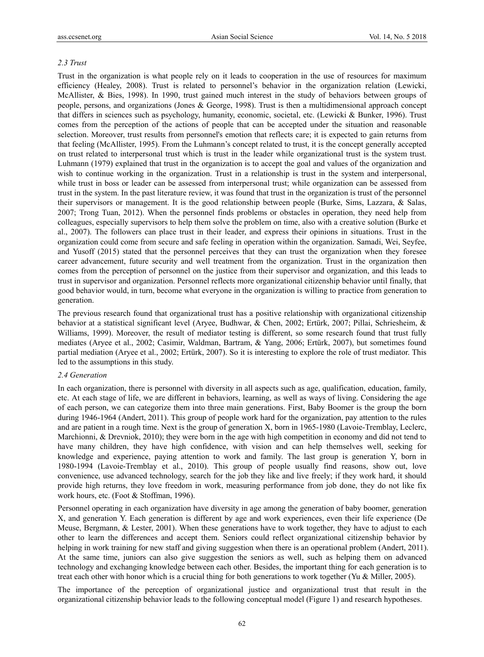#### *2.3 Trust*

Trust in the organization is what people rely on it leads to cooperation in the use of resources for maximum efficiency (Healey, 2008). Trust is related to personnel's behavior in the organization relation (Lewicki, McAllister, & Bies, 1998). In 1990, trust gained much interest in the study of behaviors between groups of people, persons, and organizations (Jones & George, 1998). Trust is then a multidimensional approach concept that differs in sciences such as psychology, humanity, economic, societal, etc. (Lewicki & Bunker, 1996). Trust comes from the perception of the actions of people that can be accepted under the situation and reasonable selection. Moreover, trust results from personnel's emotion that reflects care; it is expected to gain returns from that feeling (McAllister, 1995). From the Luhmann's concept related to trust, it is the concept generally accepted on trust related to interpersonal trust which is trust in the leader while organizational trust is the system trust. Luhmann (1979) explained that trust in the organization is to accept the goal and values of the organization and wish to continue working in the organization. Trust in a relationship is trust in the system and interpersonal, while trust in boss or leader can be assessed from interpersonal trust; while organization can be assessed from trust in the system. In the past literature review, it was found that trust in the organization is trust of the personnel their supervisors or management. It is the good relationship between people (Burke, Sims, Lazzara, & Salas, 2007; Trong Tuan, 2012). When the personnel finds problems or obstacles in operation, they need help from colleagues, especially supervisors to help them solve the problem on time, also with a creative solution (Burke et al., 2007). The followers can place trust in their leader, and express their opinions in situations. Trust in the organization could come from secure and safe feeling in operation within the organization. Samadi, Wei, Seyfee, and Yusoff (2015) stated that the personnel perceives that they can trust the organization when they foresee career advancement, future security and well treatment from the organization. Trust in the organization then comes from the perception of personnel on the justice from their supervisor and organization, and this leads to trust in supervisor and organization. Personnel reflects more organizational citizenship behavior until finally, that good behavior would, in turn, become what everyone in the organization is willing to practice from generation to generation.

The previous research found that organizational trust has a positive relationship with organizational citizenship behavior at a statistical significant level (Aryee, Budhwar, & Chen, 2002; Ertürk, 2007; Pillai, Schriesheim, & Williams, 1999). Moreover, the result of mediator testing is different, so some research found that trust fully mediates (Aryee et al., 2002; Casimir, Waldman, Bartram, & Yang, 2006; Ertürk, 2007), but sometimes found partial mediation (Aryee et al., 2002; Ertürk, 2007). So it is interesting to explore the role of trust mediator. This led to the assumptions in this study.

## *2.4 Generation*

In each organization, there is personnel with diversity in all aspects such as age, qualification, education, family, etc. At each stage of life, we are different in behaviors, learning, as well as ways of living. Considering the age of each person, we can categorize them into three main generations. First, Baby Boomer is the group the born during 1946-1964 (Andert, 2011). This group of people work hard for the organization, pay attention to the rules and are patient in a rough time. Next is the group of generation X, born in 1965-1980 (Lavoie-Tremblay, Leclerc, Marchionni, & Drevniok, 2010); they were born in the age with high competition in economy and did not tend to have many children, they have high confidence, with vision and can help themselves well, seeking for knowledge and experience, paying attention to work and family. The last group is generation Y, born in 1980-1994 (Lavoie-Tremblay et al., 2010). This group of people usually find reasons, show out, love convenience, use advanced technology, search for the job they like and live freely; if they work hard, it should provide high returns, they love freedom in work, measuring performance from job done, they do not like fix work hours, etc. (Foot & Stoffman, 1996).

Personnel operating in each organization have diversity in age among the generation of baby boomer, generation X, and generation Y. Each generation is different by age and work experiences, even their life experience (De Meuse, Bergmann, & Lester, 2001). When these generations have to work together, they have to adjust to each other to learn the differences and accept them. Seniors could reflect organizational citizenship behavior by helping in work training for new staff and giving suggestion when there is an operational problem (Andert, 2011). At the same time, juniors can also give suggestion the seniors as well, such as helping them on advanced technology and exchanging knowledge between each other. Besides, the important thing for each generation is to treat each other with honor which is a crucial thing for both generations to work together (Yu & Miller, 2005).

The importance of the perception of organizational justice and organizational trust that result in the organizational citizenship behavior leads to the following conceptual model (Figure 1) and research hypotheses.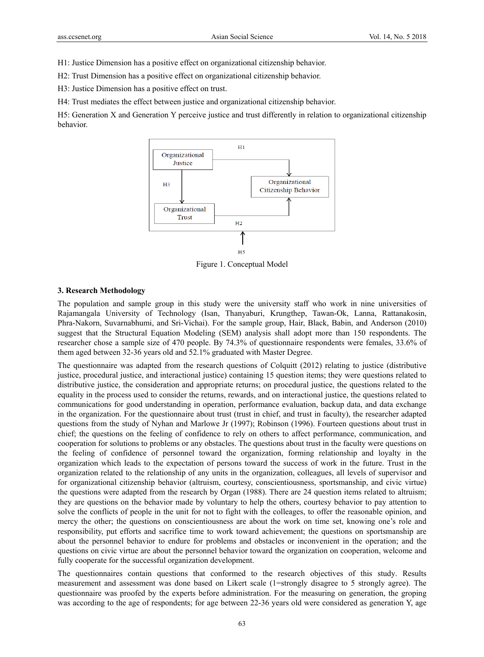H1: Justice Dimension has a positive effect on organizational citizenship behavior.

H2: Trust Dimension has a positive effect on organizational citizenship behavior.

H3: Justice Dimension has a positive effect on trust.

H4: Trust mediates the effect between justice and organizational citizenship behavior.

H5: Generation X and Generation Y perceive justice and trust differently in relation to organizational citizenship behavior.



Figure 1. Conceptual Model

#### **3. Research Methodology**

The population and sample group in this study were the university staff who work in nine universities of Rajamangala University of Technology (Isan, Thanyaburi, Krungthep, Tawan-Ok, Lanna, Rattanakosin, Phra-Nakorn, Suvarnabhumi, and Sri-Vichai). For the sample group, Hair, Black, Babin, and Anderson (2010) suggest that the Structural Equation Modeling (SEM) analysis shall adopt more than 150 respondents. The researcher chose a sample size of 470 people. By 74.3% of questionnaire respondents were females, 33.6% of them aged between 32-36 years old and 52.1% graduated with Master Degree.

The questionnaire was adapted from the research questions of Colquitt (2012) relating to justice (distributive justice, procedural justice, and interactional justice) containing 15 question items; they were questions related to distributive justice, the consideration and appropriate returns; on procedural justice, the questions related to the equality in the process used to consider the returns, rewards, and on interactional justice, the questions related to communications for good understanding in operation, performance evaluation, backup data, and data exchange in the organization. For the questionnaire about trust (trust in chief, and trust in faculty), the researcher adapted questions from the study of Nyhan and Marlowe Jr (1997); Robinson (1996). Fourteen questions about trust in chief; the questions on the feeling of confidence to rely on others to affect performance, communication, and cooperation for solutions to problems or any obstacles. The questions about trust in the faculty were questions on the feeling of confidence of personnel toward the organization, forming relationship and loyalty in the organization which leads to the expectation of persons toward the success of work in the future. Trust in the organization related to the relationship of any units in the organization, colleagues, all levels of supervisor and for organizational citizenship behavior (altruism, courtesy, conscientiousness, sportsmanship, and civic virtue) the questions were adapted from the research by Organ (1988). There are 24 question items related to altruism; they are questions on the behavior made by voluntary to help the others, courtesy behavior to pay attention to solve the conflicts of people in the unit for not to fight with the colleages, to offer the reasonable opinion, and mercy the other; the questions on conscientiousness are about the work on time set, knowing one's role and responsibility, put efforts and sacrifice time to work toward achievement; the questions on sportsmanship are about the personnel behavior to endure for problems and obstacles or inconvenient in the operation; and the questions on civic virtue are about the personnel behavior toward the organization on cooperation, welcome and fully cooperate for the successful organization development.

The questionnaires contain questions that conformed to the research objectives of this study. Results measurement and assessment was done based on Likert scale (1=strongly disagree to 5 strongly agree). The questionnaire was proofed by the experts before administration. For the measuring on generation, the groping was according to the age of respondents; for age between 22-36 years old were considered as generation Y, age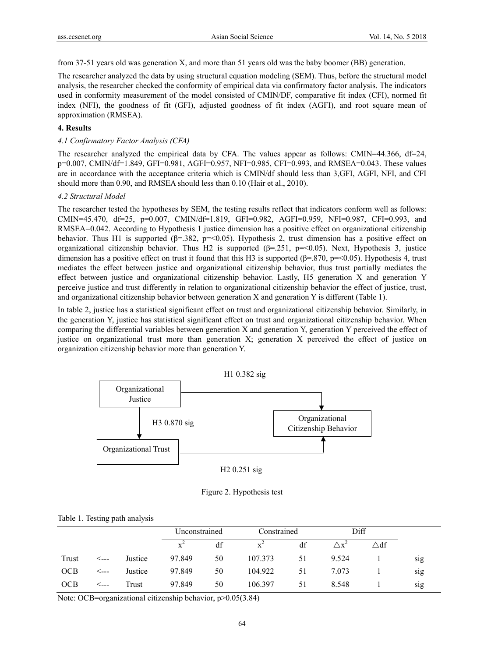from 37-51 years old was generation X, and more than 51 years old was the baby boomer (BB) generation.

The researcher analyzed the data by using structural equation modeling (SEM). Thus, before the structural model analysis, the researcher checked the conformity of empirical data via confirmatory factor analysis. The indicators used in conformity measurement of the model consisted of CMIN/DF, comparative fit index (CFI), normed fit index (NFI), the goodness of fit (GFI), adjusted goodness of fit index (AGFI), and root square mean of approximation (RMSEA).

# **4. Results**

# *4.1 Confirmatory Factor Analysis (CFA)*

The researcher analyzed the empirical data by CFA. The values appear as follows: CMIN=44.366, df=24, p=0.007, CMIN/df=1.849, GFI=0.981, AGFI=0.957, NFI=0.985, CFI=0.993, and RMSEA=0.043. These values are in accordance with the acceptance criteria which is CMIN/df should less than 3,GFI, AGFI, NFI, and CFI should more than 0.90, and RMSEA should less than 0.10 (Hair et al., 2010).

# *4.2 Structural Model*

The researcher tested the hypotheses by SEM, the testing results reflect that indicators conform well as follows: CMIN=45.470, df=25, p=0.007, CMIN/df=1.819, GFI=0.982, AGFI=0.959, NFI=0.987, CFI=0.993, and RMSEA=0.042. According to Hypothesis 1 justice dimension has a positive effect on organizational citizenship behavior. Thus H1 is supported ( $\beta$ =.382, p=<0.05). Hypothesis 2, trust dimension has a positive effect on organizational citizenship behavior. Thus H2 is supported  $(\beta = 251, p = 0.05)$ . Next, Hypothesis 3, justice dimension has a positive effect on trust it found that this H3 is supported ( $\beta$ =.870, p=<0.05). Hypothesis 4, trust mediates the effect between justice and organizational citizenship behavior, thus trust partially mediates the effect between justice and organizational citizenship behavior. Lastly, H5 generation X and generation Y perceive justice and trust differently in relation to organizational citizenship behavior the effect of justice, trust, and organizational citizenship behavior between generation X and generation Y is different (Table 1).

In table 2, justice has a statistical significant effect on trust and organizational citizenship behavior. Similarly, in the generation Y, justice has statistical significant effect on trust and organizational citizenship behavior. When comparing the differential variables between generation X and generation Y, generation Y perceived the effect of justice on organizational trust more than generation X; generation X perceived the effect of justice on organization citizenship behavior more than generation Y.



Figure 2. Hypothesis test

|  |  |  |  | Table 1. Testing path analysis |
|--|--|--|--|--------------------------------|
|--|--|--|--|--------------------------------|

|            |       |         | Unconstrained |    | Constrained |    | Diff  |     |     |
|------------|-------|---------|---------------|----|-------------|----|-------|-----|-----|
|            |       |         |               | df |             | df |       | ∆df |     |
| Trust      | <---  | Justice | 97.849        | 50 | 107.373     | 51 | 9.524 |     | sig |
| <b>OCB</b> | <---  | Justice | 97.849        | 50 | 104.922     | 51 | 7.073 |     | sig |
| <b>OCB</b> | <---- | Trust   | 97.849        | 50 | 106.397     |    | 8.548 |     | sig |

Note: OCB=organizational citizenship behavior, p>0.05(3.84)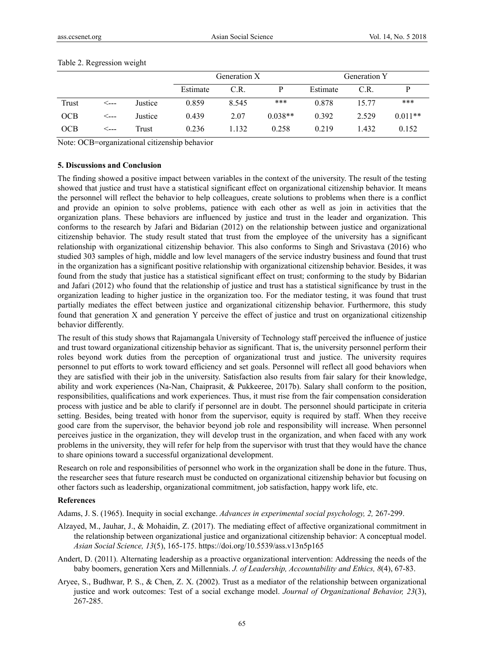|            |      |         | Generation X |       |           | <b>Generation Y</b> |       |           |  |
|------------|------|---------|--------------|-------|-----------|---------------------|-------|-----------|--|
|            |      |         | Estimate     | C.R.  |           | Estimate            | C.R.  |           |  |
| Trust      | <--- | Justice | 0.859        | 8.545 | ***       | 0.878               | 15.77 | ***       |  |
| <b>OCB</b> | <--- | Justice | 0.439        | 2.07  | $0.038**$ | 0.392               | 2.529 | $0.011**$ |  |
| <b>OCB</b> | ⊂—   | Trust   | 0.236        | 1.132 | 0.258     | 0.219               | 1.432 | 0.152     |  |

#### Table 2. Regression weight

Note: OCB=organizational citizenship behavior

## **5. Discussions and Conclusion**

The finding showed a positive impact between variables in the context of the university. The result of the testing showed that justice and trust have a statistical significant effect on organizational citizenship behavior. It means the personnel will reflect the behavior to help colleagues, create solutions to problems when there is a conflict and provide an opinion to solve problems, patience with each other as well as join in activities that the organization plans. These behaviors are influenced by justice and trust in the leader and organization. This conforms to the research by Jafari and Bidarian (2012) on the relationship between justice and organizational citizenship behavior. The study result stated that trust from the employee of the university has a significant relationship with organizational citizenship behavior. This also conforms to Singh and Srivastava (2016) who studied 303 samples of high, middle and low level managers of the service industry business and found that trust in the organization has a significant positive relationship with organizational citizenship behavior. Besides, it was found from the study that justice has a statistical significant effect on trust; conforming to the study by Bidarian and Jafari (2012) who found that the relationship of justice and trust has a statistical significance by trust in the organization leading to higher justice in the organization too. For the mediator testing, it was found that trust partially mediates the effect between justice and organizational citizenship behavior. Furthermore, this study found that generation X and generation Y perceive the effect of justice and trust on organizational citizenship behavior differently.

The result of this study shows that Rajamangala University of Technology staff perceived the influence of justice and trust toward organizational citizenship behavior as significant. That is, the university personnel perform their roles beyond work duties from the perception of organizational trust and justice. The university requires personnel to put efforts to work toward efficiency and set goals. Personnel will reflect all good behaviors when they are satisfied with their job in the university. Satisfaction also results from fair salary for their knowledge, ability and work experiences (Na-Nan, Chaiprasit, & Pukkeeree, 2017b). Salary shall conform to the position, responsibilities, qualifications and work experiences. Thus, it must rise from the fair compensation consideration process with justice and be able to clarify if personnel are in doubt. The personnel should participate in criteria setting. Besides, being treated with honor from the supervisor, equity is required by staff. When they receive good care from the supervisor, the behavior beyond job role and responsibility will increase. When personnel perceives justice in the organization, they will develop trust in the organization, and when faced with any work problems in the university, they will refer for help from the supervisor with trust that they would have the chance to share opinions toward a successful organizational development.

Research on role and responsibilities of personnel who work in the organization shall be done in the future. Thus, the researcher sees that future research must be conducted on organizational citizenship behavior but focusing on other factors such as leadership, organizational commitment, job satisfaction, happy work life, etc.

## **References**

Adams, J. S. (1965). Inequity in social exchange. *Advances in experimental social psychology, 2,* 267-299.

- Alzayed, M., Jauhar, J., & Mohaidin, Z. (2017). The mediating effect of affective organizational commitment in the relationship between organizational justice and organizational citizenship behavior: A conceptual model. *Asian Social Science, 13*(5), 165-175. https://doi.org/10.5539/ass.v13n5p165
- Andert, D. (2011). Alternating leadership as a proactive organizational intervention: Addressing the needs of the baby boomers, generation Xers and Millennials. *J. of Leadership, Accountability and Ethics, 8*(4), 67-83.
- Aryee, S., Budhwar, P. S., & Chen, Z. X. (2002). Trust as a mediator of the relationship between organizational justice and work outcomes: Test of a social exchange model. *Journal of Organizational Behavior, 23*(3), 267-285.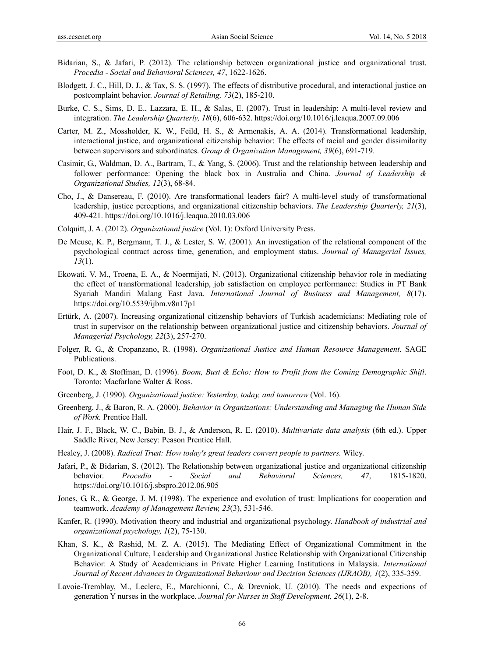- Bidarian, S., & Jafari, P. (2012). The relationship between organizational justice and organizational trust. *Procedia - Social and Behavioral Sciences, 47*, 1622-1626.
- Blodgett, J. C., Hill, D. J., & Tax, S. S. (1997). The effects of distributive procedural, and interactional justice on postcomplaint behavior. *Journal of Retailing, 73*(2), 185-210.
- Burke, C. S., Sims, D. E., Lazzara, E. H., & Salas, E. (2007). Trust in leadership: A multi-level review and integration. *The Leadership Quarterly, 18*(6), 606-632. https://doi.org/10.1016/j.leaqua.2007.09.006
- Carter, M. Z., Mossholder, K. W., Feild, H. S., & Armenakis, A. A. (2014). Transformational leadership, interactional justice, and organizational citizenship behavior: The effects of racial and gender dissimilarity between supervisors and subordinates. *Group & Organization Management, 39*(6), 691-719.
- Casimir, G., Waldman, D. A., Bartram, T., & Yang, S. (2006). Trust and the relationship between leadership and follower performance: Opening the black box in Australia and China. *Journal of Leadership & Organizational Studies, 12*(3), 68-84.
- Cho, J., & Dansereau, F. (2010). Are transformational leaders fair? A multi-level study of transformational leadership, justice perceptions, and organizational citizenship behaviors. *The Leadership Quarterly, 21*(3), 409-421. https://doi.org/10.1016/j.leaqua.2010.03.006
- Colquitt, J. A. (2012). *Organizational justice* (Vol. 1): Oxford University Press.
- De Meuse, K. P., Bergmann, T. J., & Lester, S. W. (2001). An investigation of the relational component of the psychological contract across time, generation, and employment status. *Journal of Managerial Issues, 13*(1).
- Ekowati, V. M., Troena, E. A., & Noermijati, N. (2013). Organizational citizenship behavior role in mediating the effect of transformational leadership, job satisfaction on employee performance: Studies in PT Bank Syariah Mandiri Malang East Java. *International Journal of Business and Management, 8*(17). https://doi.org/10.5539/ijbm.v8n17p1
- Ertürk, A. (2007). Increasing organizational citizenship behaviors of Turkish academicians: Mediating role of trust in supervisor on the relationship between organizational justice and citizenship behaviors. *Journal of Managerial Psychology, 22*(3), 257-270.
- Folger, R. G., & Cropanzano, R. (1998). *Organizational Justice and Human Resource Management*. SAGE Publications.
- Foot, D. K., & Stoffman, D. (1996). *Boom, Bust & Echo: How to Profit from the Coming Demographic Shift*. Toronto: Macfarlane Walter & Ross.
- Greenberg, J. (1990). *Organizational justice: Yesterday, today, and tomorrow* (Vol. 16).
- Greenberg, J., & Baron, R. A. (2000). *Behavior in Organizations: Understanding and Managing the Human Side of Work.* Prentice Hall.
- Hair, J. F., Black, W. C., Babin, B. J., & Anderson, R. E. (2010). *Multivariate data analysis* (6th ed.). Upper Saddle River, New Jersey: Peason Prentice Hall.
- Healey, J. (2008). *Radical Trust: How today's great leaders convert people to partners.* Wiley.
- Jafari, P., & Bidarian, S. (2012). The Relationship between organizational justice and organizational citizenship behavior. *Procedia - Social and Behavioral Sciences, 47*, 1815-1820. https://doi.org/10.1016/j.sbspro.2012.06.905
- Jones, G. R., & George, J. M. (1998). The experience and evolution of trust: Implications for cooperation and teamwork. *Academy of Management Review, 23*(3), 531-546.
- Kanfer, R. (1990). Motivation theory and industrial and organizational psychology. *Handbook of industrial and organizational psychology, 1*(2), 75-130.
- Khan, S. K., & Rashid, M. Z. A. (2015). The Mediating Effect of Organizational Commitment in the Organizational Culture, Leadership and Organizational Justice Relationship with Organizational Citizenship Behavior: A Study of Academicians in Private Higher Learning Institutions in Malaysia. *International Journal of Recent Advances in Organizational Behaviour and Decision Sciences (IJRAOB), 1*(2), 335-359.
- Lavoie-Tremblay, M., Leclerc, E., Marchionni, C., & Drevniok, U. (2010). The needs and expections of generation Y nurses in the workplace. *Journal for Nurses in Staff Development, 26*(1), 2-8.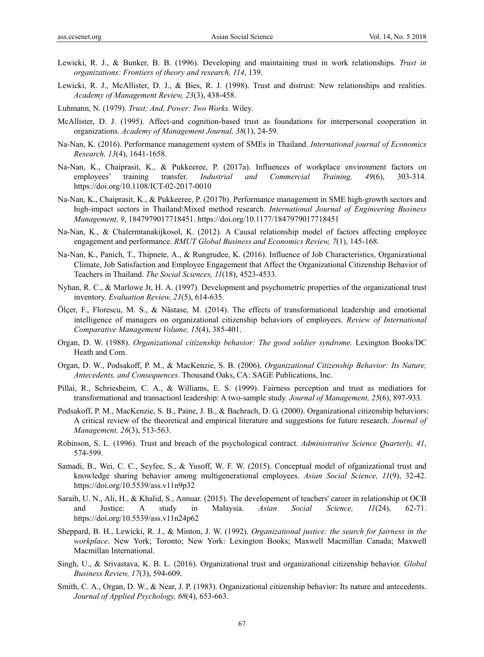- Lewicki, R. J., & Bunker, B. B. (1996). Developing and maintaining trust in work relationships. *Trust in organizations: Frontiers of theory and research, 114*, 139.
- Lewicki, R. J., McAllister, D. J., & Bies, R. J. (1998). Trust and distrust: New relationships and realities. *Academy of Management Review, 23*(3), 438-458.
- Luhmann, N. (1979). *Trust; And, Power: Two Works.* Wiley.
- McAllister, D. J. (1995). Affect-and cognition-based trust as foundations for interpersonal cooperation in organizations. *Academy of Management Journal, 38*(1), 24-59.
- Na-Nan, K. (2016). Performance management system of SMEs in Thailand. *International journal of Economics Research, 13*(4), 1641-1658.
- Na-Nan, K., Chaiprasit, K., & Pukkeeree, P. (2017a). Influences of workplace environment factors on employees' training transfer. *Industrial and Commercial Training, 49*(6), 303-314. https://doi.org/10.1108/ICT-02-2017-0010
- Na-Nan, K., Chaiprasit, K., & Pukkeeree, P. (2017b). Performance management in SME high-growth sectors and high-impact sectors in Thailand:Mixed method research. *International Journal of Engineering Business Management, 9*, 1847979017718451. https://doi.org/10.1177/1847979017718451
- Na-Nan, K., & Chalermtanakijkosol, K. (2012). A Causal relationship model of factors affecting employee engagement and performance. *RMUT Global Business and Economics Review, 7*(1), 145-168.
- Na-Nan, K., Panich, T., Thipnete, A., & Rungrudee, K. (2016). Influence of Job Characteristics, Organizational Climate, Job Satisfaction and Employee Engagement that Affect the Organizational Citizenship Behavior of Teachers in Thailand. *The Social Sciences, 11*(18), 4523-4533.
- Nyhan, R. C., & Marlowe Jr, H. A. (1997). Development and psychometric properties of the organizational trust inventory. *Evaluation Review, 21*(5), 614-635.
- Ölçer, F., Florescu, M. S., & Năstase, M. (2014). The effects of transformational leadership and emotional intelligence of managers on organizational citizenship behaviors of employees. *Review of International Comparative Management Volume, 15*(4), 385-401.
- Organ, D. W. (1988). *Organizational citizenship behavior: The good soldier syndrome.* Lexington Books/DC Heath and Com.
- Organ, D. W., Podsakoff, P. M., & MacKenzie, S. B. (2006). *Organizational Citizenship Behavior: Its Nature, Antecedents, and Consequences*. Thousand Oaks, CA: SAGE Publications, Inc.
- Pillai, R., Schriesheim, C. A., & Williams, E. S. (1999). Fairness perception and trust as mediatiors for transformational and transactionl leadership: A two-sample study. *Journal of Management, 25*(6), 897-933.
- Podsakoff, P. M., MacKenzie, S. B., Paine, J. B., & Bachrach, D. G. (2000). Organizational citizenship behaviors: A critical review of the theoretical and empirical literature and suggestions for future research. *Journal of Management, 26*(3), 513-563.
- Robinson, S. L. (1996). Trust and breach of the psychological contract. *Administrative Science Quarterly, 41*, 574-599.
- Samadi, B., Wei, C. C., Seyfee, S., & Yusoff, W. F. W. (2015). Conceptual model of ofganizational trust and knowledge sharing behavior among multigenerational employees. *Asian Social Science, 11*(9), 32-42. https://doi.org/10.5539/ass.v11n9p32
- Saraih, U. N., Ali, H., & Khalid, S., Annuar. (2015). The developement of teachers' career in relationship ot OCB and Justice: A study in Malaysia. *Asian Social Science, 11*(24), 62-71. https://doi.org/10.5539/ass.v11n24p62
- Sheppard, B. H., Lewicki, R. J., & Minton, J. W. (1992). *Organizational justice: the search for fairness in the workplace*. New York; Toronto; New York: Lexington Books; Maxwell Macmillan Canada; Maxwell Macmillan International.
- Singh, U., & Srivastava, K. B. L. (2016). Organizational trust and organizational citizenship behavior. *Global Business Review, 17*(3), 594-609.
- Smith, C. A., Organ, D. W., & Near, J. P. (1983). Organizational citizenship behavior: Its nature and antecedents. *Journal of Applied Psychology, 68*(4), 653-663.